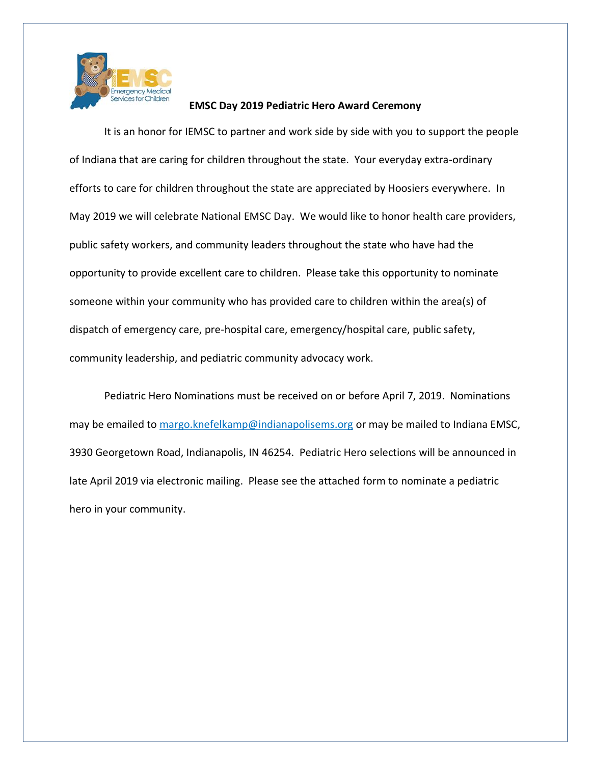

## **EMSC Day 2019 Pediatric Hero Award Ceremony**

It is an honor for IEMSC to partner and work side by side with you to support the people of Indiana that are caring for children throughout the state. Your everyday extra-ordinary efforts to care for children throughout the state are appreciated by Hoosiers everywhere. In May 2019 we will celebrate National EMSC Day. We would like to honor health care providers, public safety workers, and community leaders throughout the state who have had the opportunity to provide excellent care to children. Please take this opportunity to nominate someone within your community who has provided care to children within the area(s) of dispatch of emergency care, pre-hospital care, emergency/hospital care, public safety, community leadership, and pediatric community advocacy work.

Pediatric Hero Nominations must be received on or before April 7, 2019. Nominations may be emailed to [margo.knefelkamp@indianapolisems.org](mailto:margo.knefelkamp@indianapolisems.org) or may be mailed to Indiana EMSC, 3930 Georgetown Road, Indianapolis, IN 46254. Pediatric Hero selections will be announced in late April 2019 via electronic mailing. Please see the attached form to nominate a pediatric hero in your community.